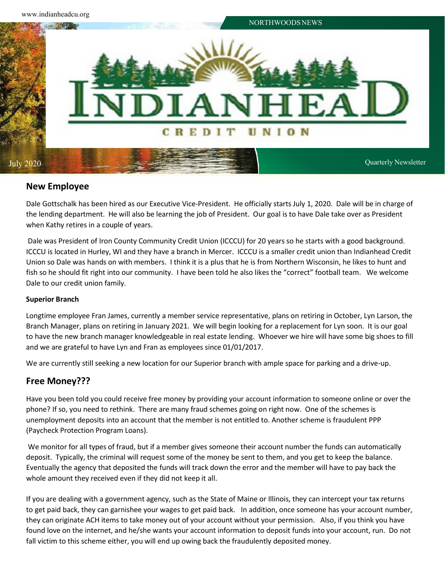

# **New Employee**

Dale Gottschalk has been hired as our Executive Vice-President. He officially starts July 1, 2020. Dale will be in charge of the lending department. He will also be learning the job of President. Our goal is to have Dale take over as President when Kathy retires in a couple of years.

Dale was President of Iron County Community Credit Union (ICCCU) for 20 years so he starts with a good background. ICCCU is located in Hurley, WI and they have a branch in Mercer. ICCCU is a smaller credit union than Indianhead Credit Union so Dale was hands on with members. I think it is a plus that he is from Northern Wisconsin, he likes to hunt and fish so he should fit right into our community. I have been told he also likes the "correct" football team. We welcome Dale to our credit union family.

## **Superior Branch**

Longtime employee Fran James, currently a member service representative, plans on retiring in October, Lyn Larson, the Branch Manager, plans on retiring in January 2021. We will begin looking for a replacement for Lyn soon. It is our goal to have the new branch manager knowledgeable in real estate lending. Whoever we hire will have some big shoes to fill and we are grateful to have Lyn and Fran as employees since 01/01/2017.

We are currently still seeking a new location for our Superior branch with ample space for parking and a drive-up.

# **Free Money???**

Have you been told you could receive free money by providing your account information to someone online or over the phone? If so, you need to rethink. There are many fraud schemes going on right now. One of the schemes is unemployment deposits into an account that the member is not entitled to. Another scheme is fraudulent PPP (Paycheck Protection Program Loans).

We monitor for all types of fraud, but if a member gives someone their account number the funds can automatically deposit. Typically, the criminal will request some of the money be sent to them, and you get to keep the balance. Eventually the agency that deposited the funds will track down the error and the member will have to pay back the whole amount they received even if they did not keep it all.

If you are dealing with a government agency, such as the State of Maine or Illinois, they can intercept your tax returns to get paid back, they can garnishee your wages to get paid back. In addition, once someone has your account number, they can originate ACH items to take money out of your account without your permission. Also, if you think you have found love on the internet, and he/she wants your account information to deposit funds into your account, run. Do not fall victim to this scheme either, you will end up owing back the fraudulently deposited money.